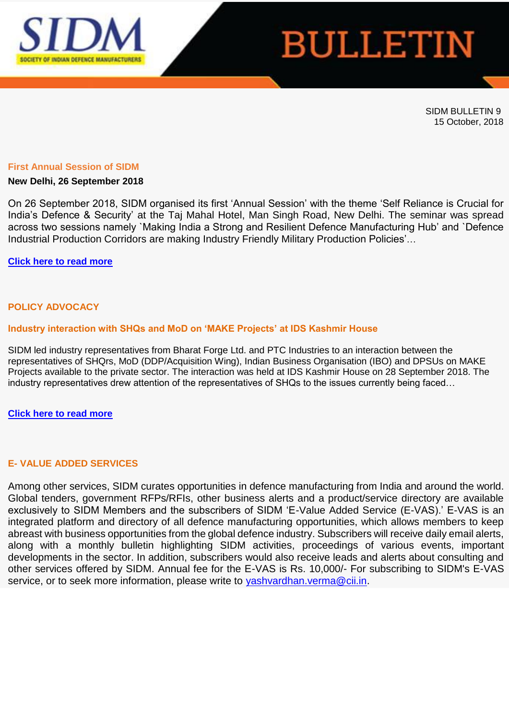

# **BULLETIN**

SIDM BULLETIN 9 15 October, 2018

#### **First Annual Session of SIDM**

### **New Delhi, 26 September 2018**

On 26 September 2018, SIDM organised its first 'Annual Session' with the theme 'Self Reliance is Crucial for India's Defence & Security' at the Taj Mahal Hotel, Man Singh Road, New Delhi. The seminar was spread across two sessions namely `Making India a Strong and Resilient Defence Manufacturing Hub' and `Defence Industrial Production Corridors are making Industry Friendly Military Production Policies'…

# **[Click here to read more](https://www.sidm.in/first-annual-session-sidm)**

# **POLICY ADVOCACY**

# **Industry interaction with SHQs and MoD on 'MAKE Projects' at IDS Kashmir House**

SIDM led industry representatives from Bharat Forge Ltd. and PTC Industries to an interaction between the representatives of SHQrs, MoD (DDP/Acquisition Wing), Indian Business Organisation (IBO) and DPSUs on MAKE Projects available to the private sector. The interaction was held at IDS Kashmir House on 28 September 2018. The industry representatives drew attention of the representatives of SHQs to the issues currently being faced…

**[Click here to read more](https://www.sidm.in/industry-interaction-shqs-and-mod-%E2%80%98make-projects%E2%80%99-ids-kashmir-house)**

# **E- VALUE ADDED SERVICES**

Among other services, SIDM curates opportunities in defence manufacturing from India and around the world. Global tenders, government RFPs/RFIs, other business alerts and a product/service directory are available exclusively to SIDM Members and the subscribers of SIDM 'E-Value Added Service (E-VAS).' E-VAS is an integrated platform and directory of all defence manufacturing opportunities, which allows members to keep abreast with business opportunities from the global defence industry. Subscribers will receive daily email alerts, along with a monthly bulletin highlighting SIDM activities, proceedings of various events, important developments in the sector. In addition, subscribers would also receive leads and alerts about consulting and other services offered by SIDM. Annual fee for the E-VAS is Rs. 10,000/- For subscribing to SIDM's E-VAS service, or to seek more information, please write to [yashvardhan.verma@cii.in.](mailto:yashvardhan.verma@cii.in)